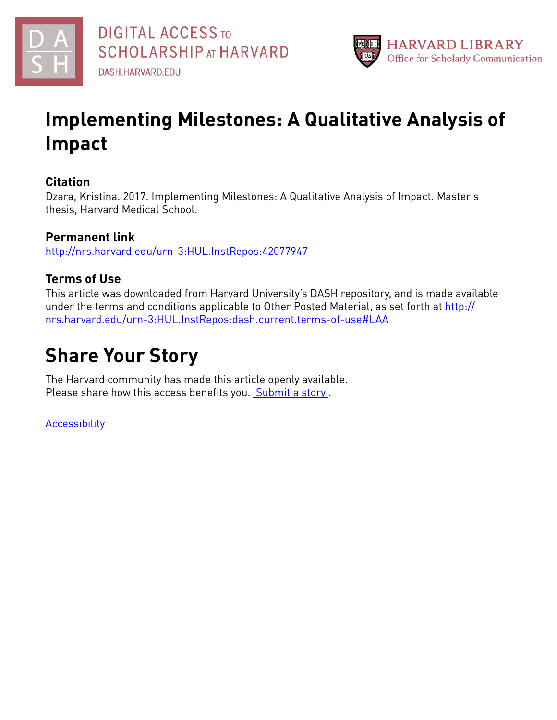



# **Implementing Milestones: A Qualitative Analysis of Impact**

# **Citation**

Dzara, Kristina. 2017. Implementing Milestones: A Qualitative Analysis of Impact. Master's thesis, Harvard Medical School.

# **Permanent link**

<http://nrs.harvard.edu/urn-3:HUL.InstRepos:42077947>

# **Terms of Use**

This article was downloaded from Harvard University's DASH repository, and is made available under the terms and conditions applicable to Other Posted Material, as set forth at [http://](http://nrs.harvard.edu/urn-3:HUL.InstRepos:dash.current.terms-of-use#LAA) [nrs.harvard.edu/urn-3:HUL.InstRepos:dash.current.terms-of-use#LAA](http://nrs.harvard.edu/urn-3:HUL.InstRepos:dash.current.terms-of-use#LAA)

# **Share Your Story**

The Harvard community has made this article openly available. Please share how this access benefits you. [Submit](http://osc.hul.harvard.edu/dash/open-access-feedback?handle=&title=Implementing%20Milestones:%20A%20Qualitative%20Analysis%20of%20Impact&community=1/4454685&collection=1/11407446&owningCollection1/11407446&harvardAuthors=c9459bf5879cc147ff1ba9383557358e&departmentMaster%20of%20Medical%20Sciences%20in%20Medical%20Education) a story.

**[Accessibility](https://dash.harvard.edu/pages/accessibility)**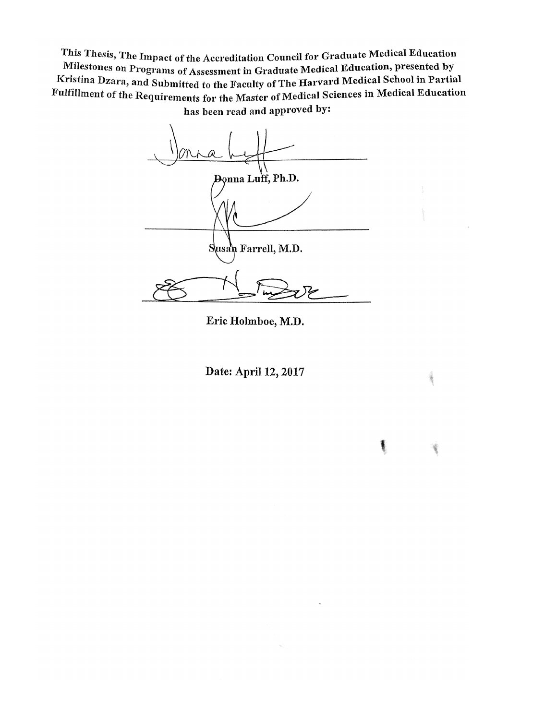This Thesis, The Impact of the Accreditation Council for Graduate Medical Education Milestones on Programs of Assessment in Graduate Medical Education, presented by Kristina Dzara, and Submitted to the Faculty of The Harvard Medical School in Partial Fulfillment of the Requirements for the Master of Medical Sciences in Medical Education has been read and approved by:

⋒ Donna Luff, Ph.D. Susah Farrell, M.D.

Eric Holmboe, M.D.

Date: April 12, 2017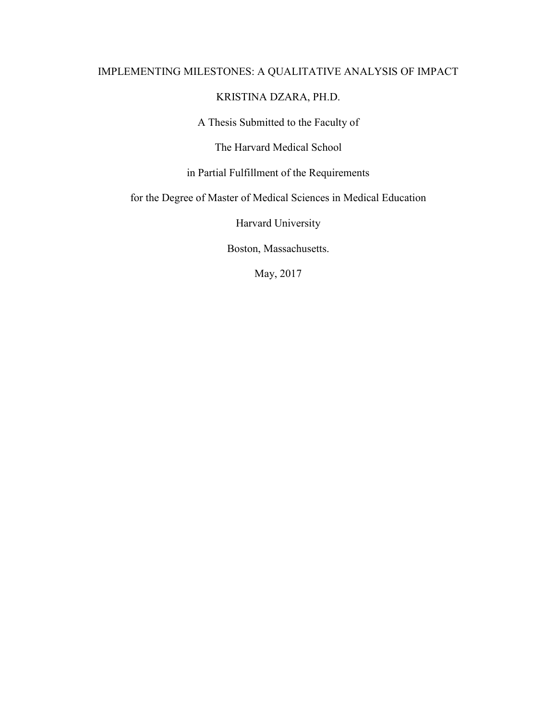# IMPLEMENTING MILESTONES: A QUALITATIVE ANALYSIS OF IMPACT

# KRISTINA DZARA, PH.D.

A Thesis Submitted to the Faculty of

The Harvard Medical School

in Partial Fulfillment of the Requirements

for the Degree of Master of Medical Sciences in Medical Education

Harvard University

Boston, Massachusetts.

May, 2017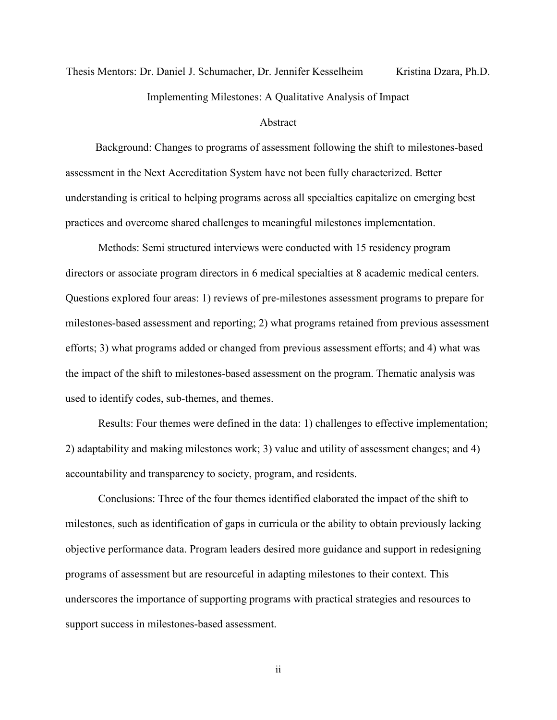# Thesis Mentors: Dr. Daniel J. Schumacher, Dr. Jennifer Kesselheim Kristina Dzara, Ph.D. Implementing Milestones: A Qualitative Analysis of Impact

# Abstract

Background: Changes to programs of assessment following the shift to milestones-based assessment in the Next Accreditation System have not been fully characterized. Better understanding is critical to helping programs across all specialties capitalize on emerging best practices and overcome shared challenges to meaningful milestones implementation.

Methods: Semi structured interviews were conducted with 15 residency program directors or associate program directors in 6 medical specialties at 8 academic medical centers. Questions explored four areas: 1) reviews of pre-milestones assessment programs to prepare for milestones-based assessment and reporting; 2) what programs retained from previous assessment efforts; 3) what programs added or changed from previous assessment efforts; and 4) what was the impact of the shift to milestones-based assessment on the program. Thematic analysis was used to identify codes, sub-themes, and themes.

Results: Four themes were defined in the data: 1) challenges to effective implementation; 2) adaptability and making milestones work; 3) value and utility of assessment changes; and 4) accountability and transparency to society, program, and residents.

Conclusions: Three of the four themes identified elaborated the impact of the shift to milestones, such as identification of gaps in curricula or the ability to obtain previously lacking objective performance data. Program leaders desired more guidance and support in redesigning programs of assessment but are resourceful in adapting milestones to their context. This underscores the importance of supporting programs with practical strategies and resources to support success in milestones-based assessment.

ii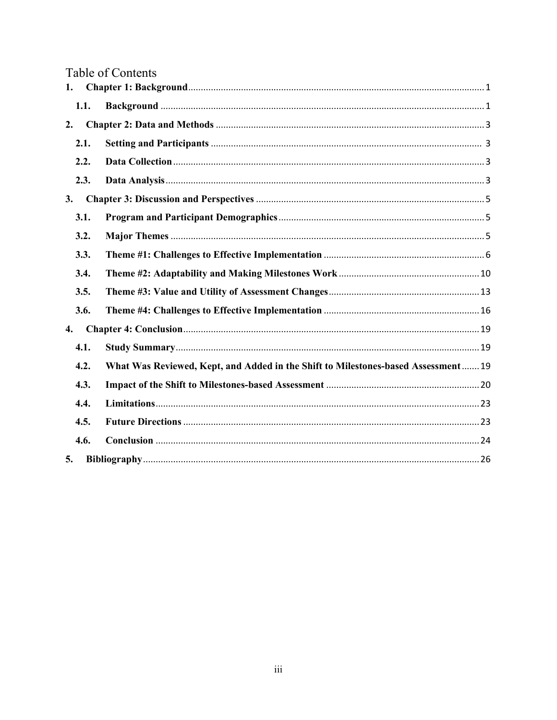|  |  | <b>Table of Contents</b> |
|--|--|--------------------------|
|  |  |                          |

| 1.   |                                                                                   |  |  |  |
|------|-----------------------------------------------------------------------------------|--|--|--|
| 1.1. |                                                                                   |  |  |  |
| 2.   |                                                                                   |  |  |  |
| 2.1. |                                                                                   |  |  |  |
| 2.2. |                                                                                   |  |  |  |
| 2.3. |                                                                                   |  |  |  |
| 3.   |                                                                                   |  |  |  |
| 3.1. |                                                                                   |  |  |  |
| 3.2. |                                                                                   |  |  |  |
| 3.3. |                                                                                   |  |  |  |
| 3.4. |                                                                                   |  |  |  |
| 3.5. |                                                                                   |  |  |  |
| 3.6. |                                                                                   |  |  |  |
| 4.   |                                                                                   |  |  |  |
| 4.1. |                                                                                   |  |  |  |
| 4.2. | What Was Reviewed, Kept, and Added in the Shift to Milestones-based Assessment 19 |  |  |  |
| 4.3. |                                                                                   |  |  |  |
| 4.4. |                                                                                   |  |  |  |
| 4.5. |                                                                                   |  |  |  |
| 4.6. |                                                                                   |  |  |  |
| 5.   |                                                                                   |  |  |  |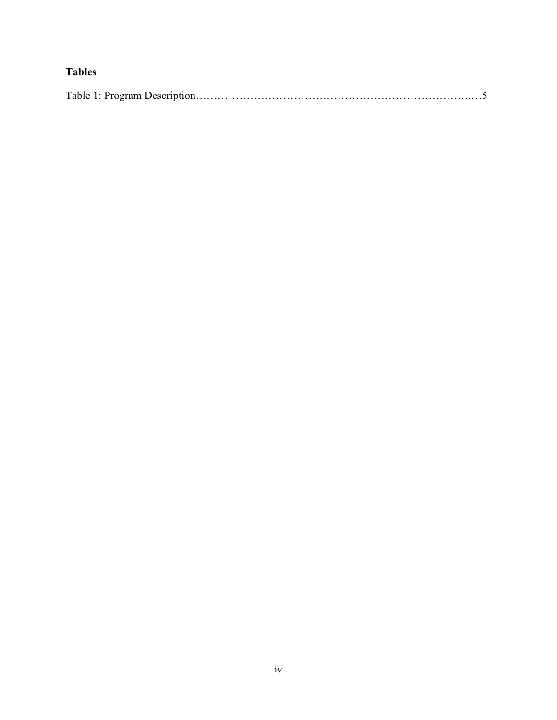# **Tables**

|--|--|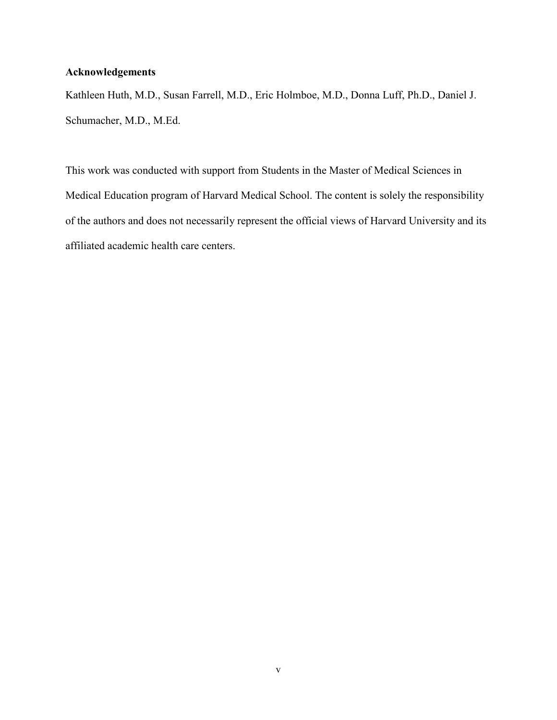# **Acknowledgements**

Kathleen Huth, M.D., Susan Farrell, M.D., Eric Holmboe, M.D., Donna Luff, Ph.D., Daniel J. Schumacher, M.D., M.Ed.

This work was conducted with support from Students in the Master of Medical Sciences in Medical Education program of Harvard Medical School. The content is solely the responsibility of the authors and does not necessarily represent the official views of Harvard University and its affiliated academic health care centers.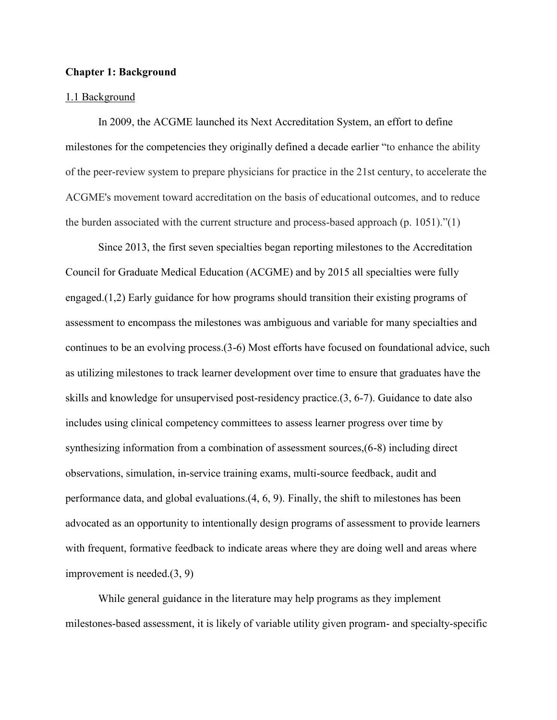# **Chapter 1: Background**

## 1.1 Background

In 2009, the ACGME launched its Next Accreditation System, an effort to define milestones for the competencies they originally defined a decade earlier "to enhance the ability of the peer-review system to prepare physicians for practice in the 21st century, to accelerate the ACGME's movement toward accreditation on the basis of educational outcomes, and to reduce the burden associated with the current structure and process-based approach (p. 1051)."(1)

Since 2013, the first seven specialties began reporting milestones to the Accreditation Council for Graduate Medical Education (ACGME) and by 2015 all specialties were fully engaged.(1,2) Early guidance for how programs should transition their existing programs of assessment to encompass the milestones was ambiguous and variable for many specialties and continues to be an evolving process.(3-6) Most efforts have focused on foundational advice, such as utilizing milestones to track learner development over time to ensure that graduates have the skills and knowledge for unsupervised post-residency practice.(3, 6-7). Guidance to date also includes using clinical competency committees to assess learner progress over time by synthesizing information from a combination of assessment sources,(6-8) including direct observations, simulation, in-service training exams, multi-source feedback, audit and performance data, and global evaluations.(4, 6, 9). Finally, the shift to milestones has been advocated as an opportunity to intentionally design programs of assessment to provide learners with frequent, formative feedback to indicate areas where they are doing well and areas where improvement is needed.(3, 9)

While general guidance in the literature may help programs as they implement milestones-based assessment, it is likely of variable utility given program- and specialty-specific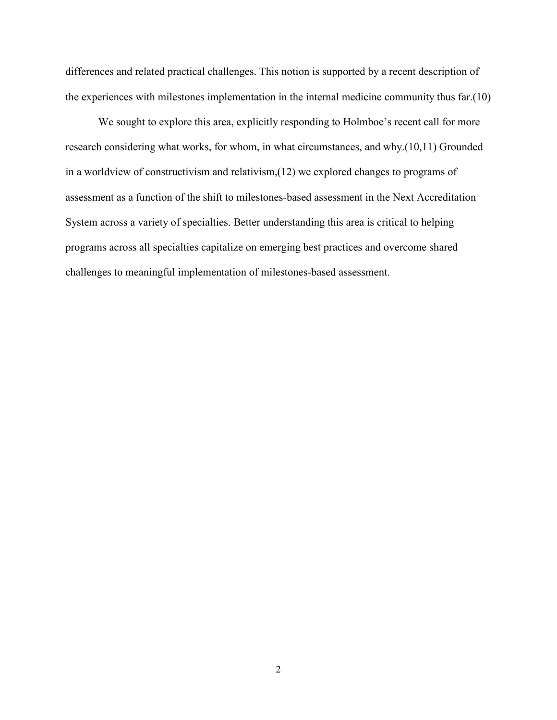differences and related practical challenges. This notion is supported by a recent description of the experiences with milestones implementation in the internal medicine community thus far.(10)

We sought to explore this area, explicitly responding to Holmboe's recent call for more research considering what works, for whom, in what circumstances, and why.(10,11) Grounded in a worldview of constructivism and relativism,(12) we explored changes to programs of assessment as a function of the shift to milestones-based assessment in the Next Accreditation System across a variety of specialties. Better understanding this area is critical to helping programs across all specialties capitalize on emerging best practices and overcome shared challenges to meaningful implementation of milestones-based assessment.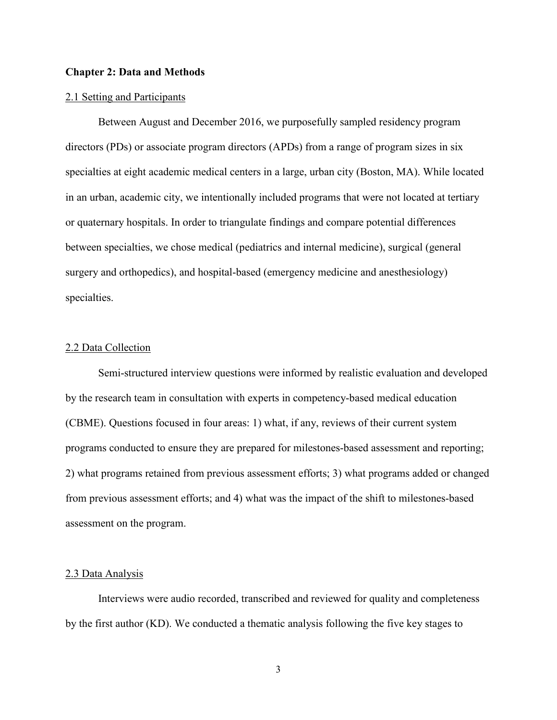## **Chapter 2: Data and Methods**

#### 2.1 Setting and Participants

Between August and December 2016, we purposefully sampled residency program directors (PDs) or associate program directors (APDs) from a range of program sizes in six specialties at eight academic medical centers in a large, urban city (Boston, MA). While located in an urban, academic city, we intentionally included programs that were not located at tertiary or quaternary hospitals. In order to triangulate findings and compare potential differences between specialties, we chose medical (pediatrics and internal medicine), surgical (general surgery and orthopedics), and hospital-based (emergency medicine and anesthesiology) specialties.

#### 2.2 Data Collection

Semi-structured interview questions were informed by realistic evaluation and developed by the research team in consultation with experts in competency-based medical education (CBME). Questions focused in four areas: 1) what, if any, reviews of their current system programs conducted to ensure they are prepared for milestones-based assessment and reporting; 2) what programs retained from previous assessment efforts; 3) what programs added or changed from previous assessment efforts; and 4) what was the impact of the shift to milestones-based assessment on the program.

#### 2.3 Data Analysis

Interviews were audio recorded, transcribed and reviewed for quality and completeness by the first author (KD). We conducted a thematic analysis following the five key stages to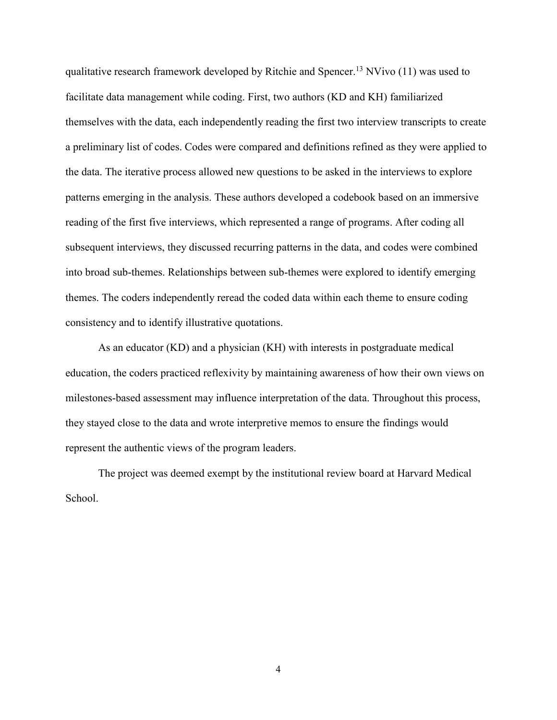qualitative research framework developed by Ritchie and Spencer.<sup>13</sup> NVivo  $(11)$  was used to facilitate data management while coding. First, two authors (KD and KH) familiarized themselves with the data, each independently reading the first two interview transcripts to create a preliminary list of codes. Codes were compared and definitions refined as they were applied to the data. The iterative process allowed new questions to be asked in the interviews to explore patterns emerging in the analysis. These authors developed a codebook based on an immersive reading of the first five interviews, which represented a range of programs. After coding all subsequent interviews, they discussed recurring patterns in the data, and codes were combined into broad sub-themes. Relationships between sub-themes were explored to identify emerging themes. The coders independently reread the coded data within each theme to ensure coding consistency and to identify illustrative quotations.

As an educator (KD) and a physician (KH) with interests in postgraduate medical education, the coders practiced reflexivity by maintaining awareness of how their own views on milestones-based assessment may influence interpretation of the data. Throughout this process, they stayed close to the data and wrote interpretive memos to ensure the findings would represent the authentic views of the program leaders.

The project was deemed exempt by the institutional review board at Harvard Medical School.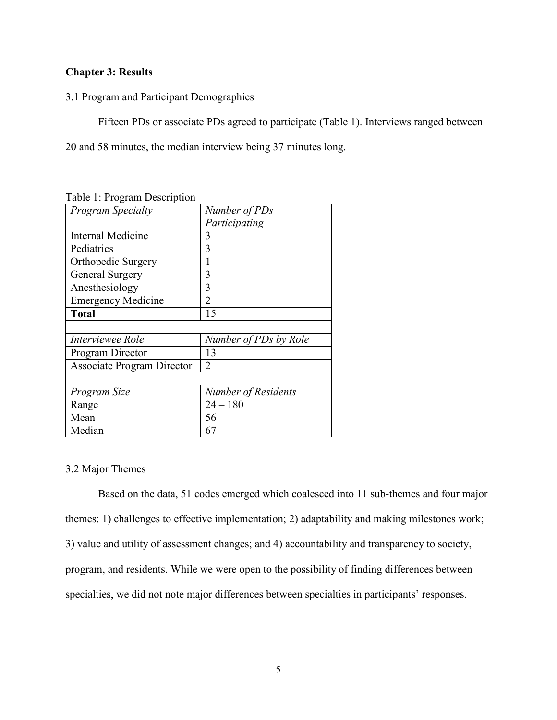# **Chapter 3: Results**

## 3.1 Program and Participant Demographics

Fifteen PDs or associate PDs agreed to participate (Table 1). Interviews ranged between

20 and 58 minutes, the median interview being 37 minutes long.

| <b>Program Specialty</b>          | Number of PDs              |
|-----------------------------------|----------------------------|
|                                   | Participating              |
| <b>Internal Medicine</b>          | 3                          |
| Pediatrics                        | 3                          |
| Orthopedic Surgery                |                            |
| General Surgery                   | 3                          |
| Anesthesiology                    | 3                          |
| <b>Emergency Medicine</b>         | $\mathfrak{D}$             |
| <b>Total</b>                      | 15                         |
|                                   |                            |
| <i><b>Interviewee Role</b></i>    | Number of PDs by Role      |
| Program Director                  | 13                         |
| <b>Associate Program Director</b> | $\overline{2}$             |
|                                   |                            |
| Program Size                      | <b>Number of Residents</b> |
| Range                             | $24 - 180$                 |
| Mean                              | 56                         |
| Median                            | 67                         |

Table 1: Program Description

# 3.2 Major Themes

Based on the data, 51 codes emerged which coalesced into 11 sub-themes and four major themes: 1) challenges to effective implementation; 2) adaptability and making milestones work; 3) value and utility of assessment changes; and 4) accountability and transparency to society, program, and residents. While we were open to the possibility of finding differences between specialties, we did not note major differences between specialties in participants' responses.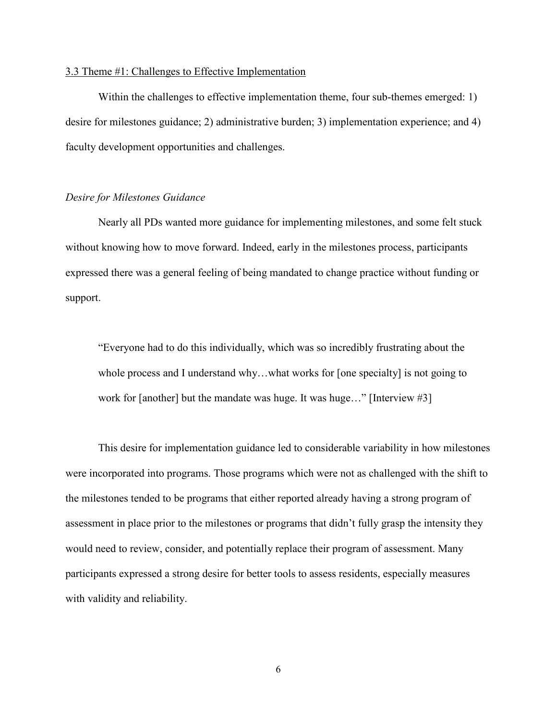#### 3.3 Theme #1: Challenges to Effective Implementation

Within the challenges to effective implementation theme, four sub-themes emerged: 1) desire for milestones guidance; 2) administrative burden; 3) implementation experience; and 4) faculty development opportunities and challenges.

# *Desire for Milestones Guidance*

Nearly all PDs wanted more guidance for implementing milestones, and some felt stuck without knowing how to move forward. Indeed, early in the milestones process, participants expressed there was a general feeling of being mandated to change practice without funding or support.

"Everyone had to do this individually, which was so incredibly frustrating about the whole process and I understand why...what works for [one specialty] is not going to work for [another] but the mandate was huge. It was huge…" [Interview #3]

This desire for implementation guidance led to considerable variability in how milestones were incorporated into programs. Those programs which were not as challenged with the shift to the milestones tended to be programs that either reported already having a strong program of assessment in place prior to the milestones or programs that didn't fully grasp the intensity they would need to review, consider, and potentially replace their program of assessment. Many participants expressed a strong desire for better tools to assess residents, especially measures with validity and reliability.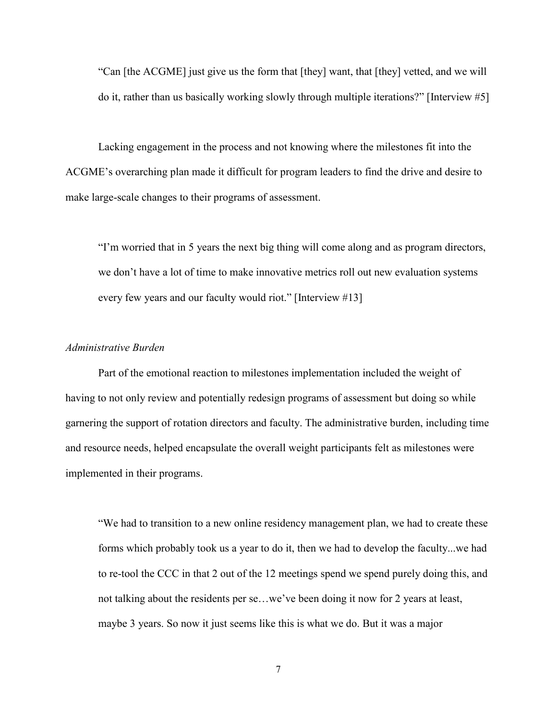"Can [the ACGME] just give us the form that [they] want, that [they] vetted, and we will do it, rather than us basically working slowly through multiple iterations?" [Interview #5]

Lacking engagement in the process and not knowing where the milestones fit into the ACGME's overarching plan made it difficult for program leaders to find the drive and desire to make large-scale changes to their programs of assessment.

"I'm worried that in 5 years the next big thing will come along and as program directors, we don't have a lot of time to make innovative metrics roll out new evaluation systems every few years and our faculty would riot." [Interview #13]

# *Administrative Burden*

Part of the emotional reaction to milestones implementation included the weight of having to not only review and potentially redesign programs of assessment but doing so while garnering the support of rotation directors and faculty. The administrative burden, including time and resource needs, helped encapsulate the overall weight participants felt as milestones were implemented in their programs.

"We had to transition to a new online residency management plan, we had to create these forms which probably took us a year to do it, then we had to develop the faculty...we had to re-tool the CCC in that 2 out of the 12 meetings spend we spend purely doing this, and not talking about the residents per se…we've been doing it now for 2 years at least, maybe 3 years. So now it just seems like this is what we do. But it was a major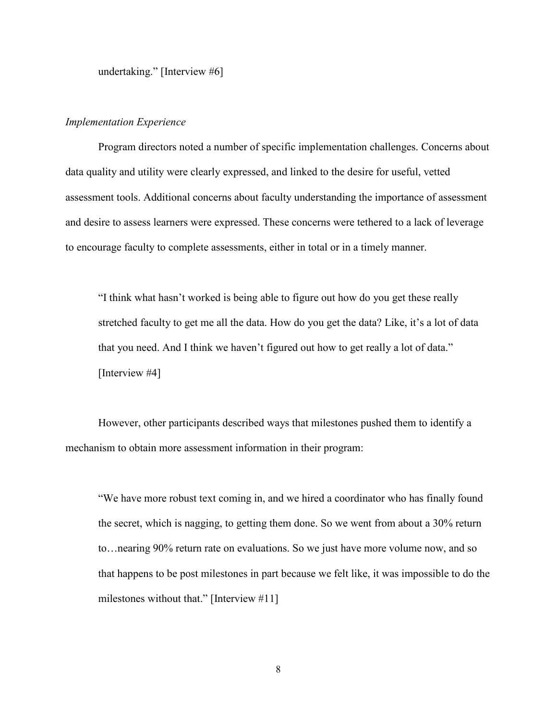undertaking." [Interview #6]

# *Implementation Experience*

Program directors noted a number of specific implementation challenges. Concerns about data quality and utility were clearly expressed, and linked to the desire for useful, vetted assessment tools. Additional concerns about faculty understanding the importance of assessment and desire to assess learners were expressed. These concerns were tethered to a lack of leverage to encourage faculty to complete assessments, either in total or in a timely manner.

"I think what hasn't worked is being able to figure out how do you get these really stretched faculty to get me all the data. How do you get the data? Like, it's a lot of data that you need. And I think we haven't figured out how to get really a lot of data." [Interview #4]

However, other participants described ways that milestones pushed them to identify a mechanism to obtain more assessment information in their program:

"We have more robust text coming in, and we hired a coordinator who has finally found the secret, which is nagging, to getting them done. So we went from about a 30% return to…nearing 90% return rate on evaluations. So we just have more volume now, and so that happens to be post milestones in part because we felt like, it was impossible to do the milestones without that." [Interview #11]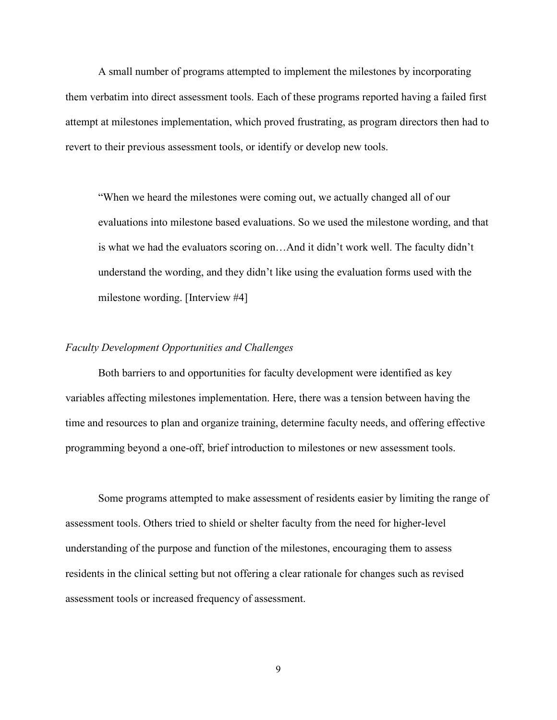A small number of programs attempted to implement the milestones by incorporating them verbatim into direct assessment tools. Each of these programs reported having a failed first attempt at milestones implementation, which proved frustrating, as program directors then had to revert to their previous assessment tools, or identify or develop new tools.

"When we heard the milestones were coming out, we actually changed all of our evaluations into milestone based evaluations. So we used the milestone wording, and that is what we had the evaluators scoring on…And it didn't work well. The faculty didn't understand the wording, and they didn't like using the evaluation forms used with the milestone wording. [Interview #4]

#### *Faculty Development Opportunities and Challenges*

Both barriers to and opportunities for faculty development were identified as key variables affecting milestones implementation. Here, there was a tension between having the time and resources to plan and organize training, determine faculty needs, and offering effective programming beyond a one-off, brief introduction to milestones or new assessment tools.

Some programs attempted to make assessment of residents easier by limiting the range of assessment tools. Others tried to shield or shelter faculty from the need for higher-level understanding of the purpose and function of the milestones, encouraging them to assess residents in the clinical setting but not offering a clear rationale for changes such as revised assessment tools or increased frequency of assessment.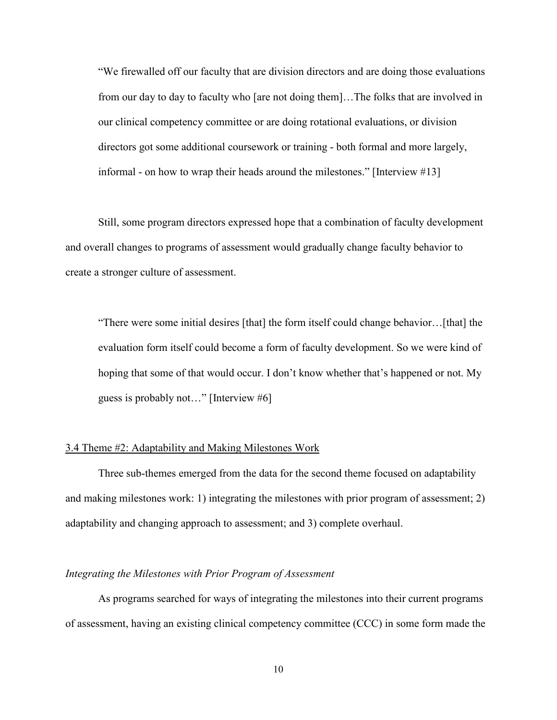"We firewalled off our faculty that are division directors and are doing those evaluations from our day to day to faculty who [are not doing them]…The folks that are involved in our clinical competency committee or are doing rotational evaluations, or division directors got some additional coursework or training - both formal and more largely, informal - on how to wrap their heads around the milestones." [Interview #13]

Still, some program directors expressed hope that a combination of faculty development and overall changes to programs of assessment would gradually change faculty behavior to create a stronger culture of assessment.

"There were some initial desires [that] the form itself could change behavior…[that] the evaluation form itself could become a form of faculty development. So we were kind of hoping that some of that would occur. I don't know whether that's happened or not. My guess is probably not…" [Interview #6]

# 3.4 Theme #2: Adaptability and Making Milestones Work

Three sub-themes emerged from the data for the second theme focused on adaptability and making milestones work: 1) integrating the milestones with prior program of assessment; 2) adaptability and changing approach to assessment; and 3) complete overhaul.

# *Integrating the Milestones with Prior Program of Assessment*

As programs searched for ways of integrating the milestones into their current programs of assessment, having an existing clinical competency committee (CCC) in some form made the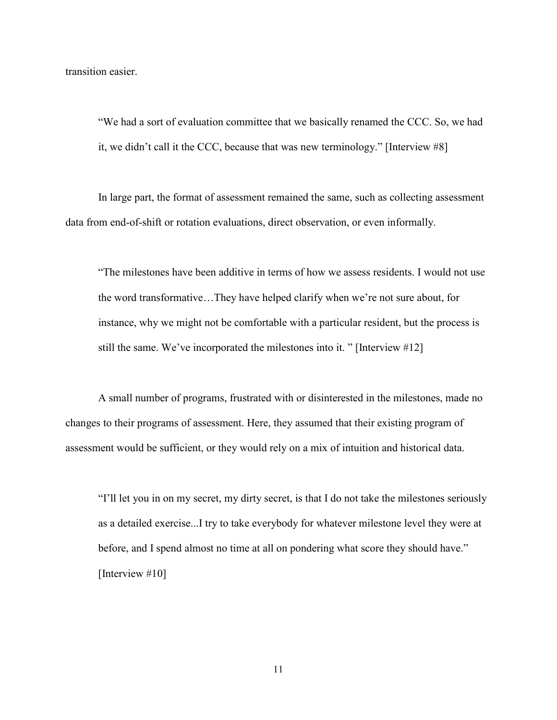transition easier.

"We had a sort of evaluation committee that we basically renamed the CCC. So, we had it, we didn't call it the CCC, because that was new terminology." [Interview #8]

In large part, the format of assessment remained the same, such as collecting assessment data from end-of-shift or rotation evaluations, direct observation, or even informally.

"The milestones have been additive in terms of how we assess residents. I would not use the word transformative…They have helped clarify when we're not sure about, for instance, why we might not be comfortable with a particular resident, but the process is still the same. We've incorporated the milestones into it. " [Interview #12]

A small number of programs, frustrated with or disinterested in the milestones, made no changes to their programs of assessment. Here, they assumed that their existing program of assessment would be sufficient, or they would rely on a mix of intuition and historical data.

"I'll let you in on my secret, my dirty secret, is that I do not take the milestones seriously as a detailed exercise...I try to take everybody for whatever milestone level they were at before, and I spend almost no time at all on pondering what score they should have." [Interview #10]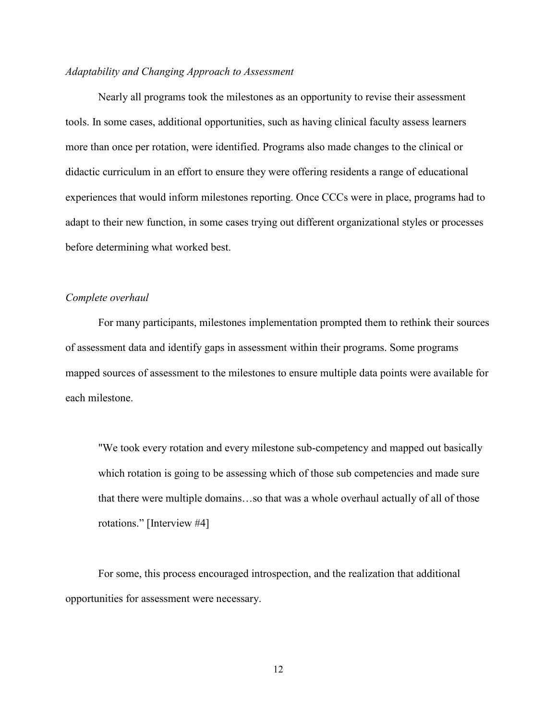# *Adaptability and Changing Approach to Assessment*

Nearly all programs took the milestones as an opportunity to revise their assessment tools. In some cases, additional opportunities, such as having clinical faculty assess learners more than once per rotation, were identified. Programs also made changes to the clinical or didactic curriculum in an effort to ensure they were offering residents a range of educational experiences that would inform milestones reporting. Once CCCs were in place, programs had to adapt to their new function, in some cases trying out different organizational styles or processes before determining what worked best.

# *Complete overhaul*

For many participants, milestones implementation prompted them to rethink their sources of assessment data and identify gaps in assessment within their programs. Some programs mapped sources of assessment to the milestones to ensure multiple data points were available for each milestone.

"We took every rotation and every milestone sub-competency and mapped out basically which rotation is going to be assessing which of those sub competencies and made sure that there were multiple domains…so that was a whole overhaul actually of all of those rotations." [Interview #4]

For some, this process encouraged introspection, and the realization that additional opportunities for assessment were necessary.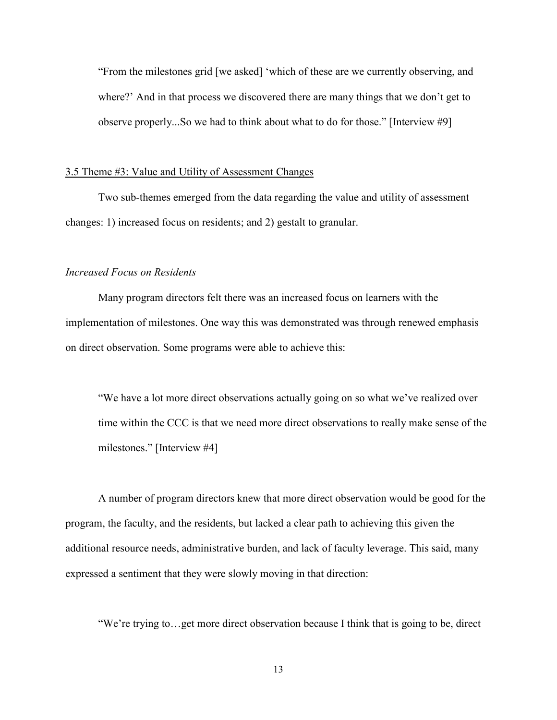"From the milestones grid [we asked] 'which of these are we currently observing, and where?' And in that process we discovered there are many things that we don't get to observe properly...So we had to think about what to do for those." [Interview #9]

## 3.5 Theme #3: Value and Utility of Assessment Changes

Two sub-themes emerged from the data regarding the value and utility of assessment changes: 1) increased focus on residents; and 2) gestalt to granular.

# *Increased Focus on Residents*

Many program directors felt there was an increased focus on learners with the implementation of milestones. One way this was demonstrated was through renewed emphasis on direct observation. Some programs were able to achieve this:

"We have a lot more direct observations actually going on so what we've realized over time within the CCC is that we need more direct observations to really make sense of the milestones." [Interview #4]

A number of program directors knew that more direct observation would be good for the program, the faculty, and the residents, but lacked a clear path to achieving this given the additional resource needs, administrative burden, and lack of faculty leverage. This said, many expressed a sentiment that they were slowly moving in that direction:

"We're trying to…get more direct observation because I think that is going to be, direct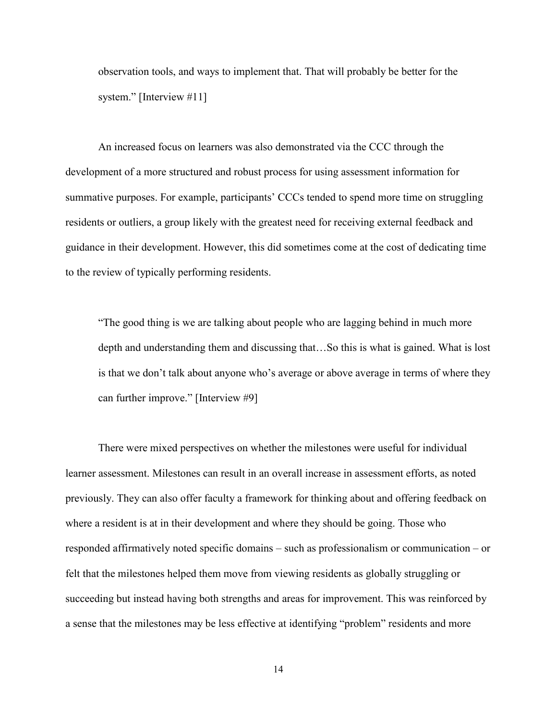observation tools, and ways to implement that. That will probably be better for the system." [Interview #11]

An increased focus on learners was also demonstrated via the CCC through the development of a more structured and robust process for using assessment information for summative purposes. For example, participants' CCCs tended to spend more time on struggling residents or outliers, a group likely with the greatest need for receiving external feedback and guidance in their development. However, this did sometimes come at the cost of dedicating time to the review of typically performing residents.

"The good thing is we are talking about people who are lagging behind in much more depth and understanding them and discussing that…So this is what is gained. What is lost is that we don't talk about anyone who's average or above average in terms of where they can further improve." [Interview #9]

There were mixed perspectives on whether the milestones were useful for individual learner assessment. Milestones can result in an overall increase in assessment efforts, as noted previously. They can also offer faculty a framework for thinking about and offering feedback on where a resident is at in their development and where they should be going. Those who responded affirmatively noted specific domains – such as professionalism or communication – or felt that the milestones helped them move from viewing residents as globally struggling or succeeding but instead having both strengths and areas for improvement. This was reinforced by a sense that the milestones may be less effective at identifying "problem" residents and more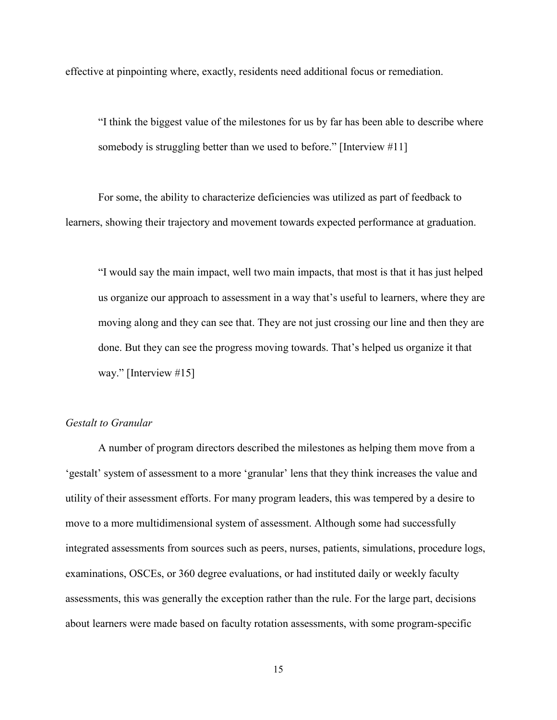effective at pinpointing where, exactly, residents need additional focus or remediation.

"I think the biggest value of the milestones for us by far has been able to describe where somebody is struggling better than we used to before." [Interview #11]

For some, the ability to characterize deficiencies was utilized as part of feedback to learners, showing their trajectory and movement towards expected performance at graduation.

"I would say the main impact, well two main impacts, that most is that it has just helped us organize our approach to assessment in a way that's useful to learners, where they are moving along and they can see that. They are not just crossing our line and then they are done. But they can see the progress moving towards. That's helped us organize it that way." [Interview #15]

#### *Gestalt to Granular*

A number of program directors described the milestones as helping them move from a 'gestalt' system of assessment to a more 'granular' lens that they think increases the value and utility of their assessment efforts. For many program leaders, this was tempered by a desire to move to a more multidimensional system of assessment. Although some had successfully integrated assessments from sources such as peers, nurses, patients, simulations, procedure logs, examinations, OSCEs, or 360 degree evaluations, or had instituted daily or weekly faculty assessments, this was generally the exception rather than the rule. For the large part, decisions about learners were made based on faculty rotation assessments, with some program-specific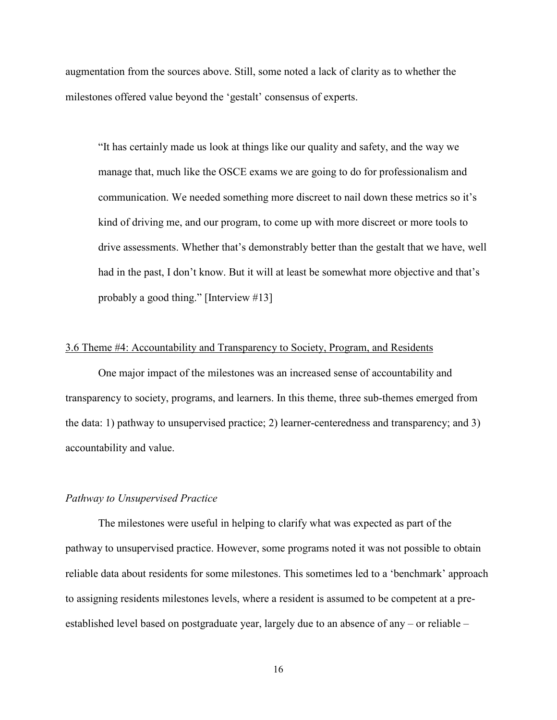augmentation from the sources above. Still, some noted a lack of clarity as to whether the milestones offered value beyond the 'gestalt' consensus of experts.

"It has certainly made us look at things like our quality and safety, and the way we manage that, much like the OSCE exams we are going to do for professionalism and communication. We needed something more discreet to nail down these metrics so it's kind of driving me, and our program, to come up with more discreet or more tools to drive assessments. Whether that's demonstrably better than the gestalt that we have, well had in the past, I don't know. But it will at least be somewhat more objective and that's probably a good thing." [Interview #13]

# 3.6 Theme #4: Accountability and Transparency to Society, Program, and Residents

One major impact of the milestones was an increased sense of accountability and transparency to society, programs, and learners. In this theme, three sub-themes emerged from the data: 1) pathway to unsupervised practice; 2) learner-centeredness and transparency; and 3) accountability and value.

# *Pathway to Unsupervised Practice*

The milestones were useful in helping to clarify what was expected as part of the pathway to unsupervised practice. However, some programs noted it was not possible to obtain reliable data about residents for some milestones. This sometimes led to a 'benchmark' approach to assigning residents milestones levels, where a resident is assumed to be competent at a preestablished level based on postgraduate year, largely due to an absence of any – or reliable –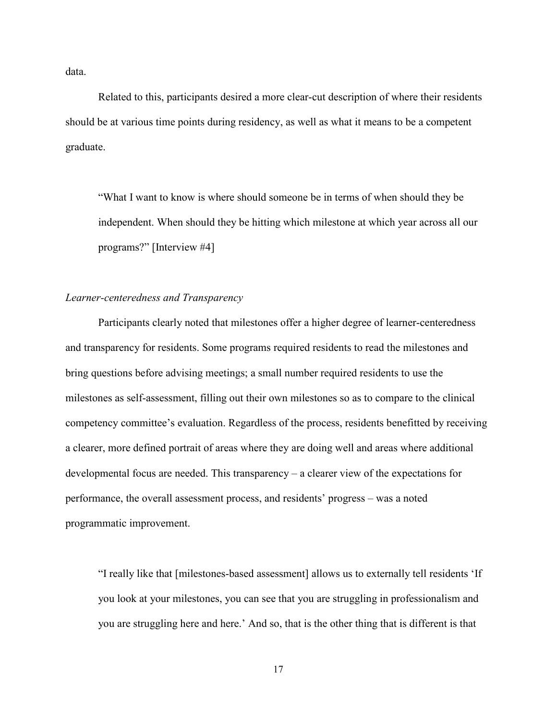data.

Related to this, participants desired a more clear-cut description of where their residents should be at various time points during residency, as well as what it means to be a competent graduate.

"What I want to know is where should someone be in terms of when should they be independent. When should they be hitting which milestone at which year across all our programs?" [Interview #4]

# *Learner-centeredness and Transparency*

Participants clearly noted that milestones offer a higher degree of learner-centeredness and transparency for residents. Some programs required residents to read the milestones and bring questions before advising meetings; a small number required residents to use the milestones as self-assessment, filling out their own milestones so as to compare to the clinical competency committee's evaluation. Regardless of the process, residents benefitted by receiving a clearer, more defined portrait of areas where they are doing well and areas where additional developmental focus are needed. This transparency – a clearer view of the expectations for performance, the overall assessment process, and residents' progress – was a noted programmatic improvement.

"I really like that [milestones-based assessment] allows us to externally tell residents 'If you look at your milestones, you can see that you are struggling in professionalism and you are struggling here and here.' And so, that is the other thing that is different is that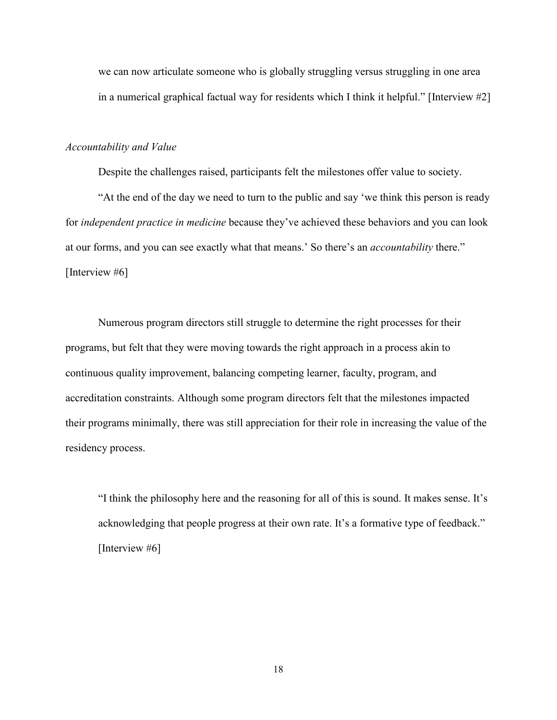we can now articulate someone who is globally struggling versus struggling in one area in a numerical graphical factual way for residents which I think it helpful." [Interview #2]

## *Accountability and Value*

Despite the challenges raised, participants felt the milestones offer value to society.

"At the end of the day we need to turn to the public and say 'we think this person is ready for *independent practice in medicine* because they've achieved these behaviors and you can look at our forms, and you can see exactly what that means.' So there's an *accountability* there." [Interview #6]

Numerous program directors still struggle to determine the right processes for their programs, but felt that they were moving towards the right approach in a process akin to continuous quality improvement, balancing competing learner, faculty, program, and accreditation constraints. Although some program directors felt that the milestones impacted their programs minimally, there was still appreciation for their role in increasing the value of the residency process.

"I think the philosophy here and the reasoning for all of this is sound. It makes sense. It's acknowledging that people progress at their own rate. It's a formative type of feedback." [Interview #6]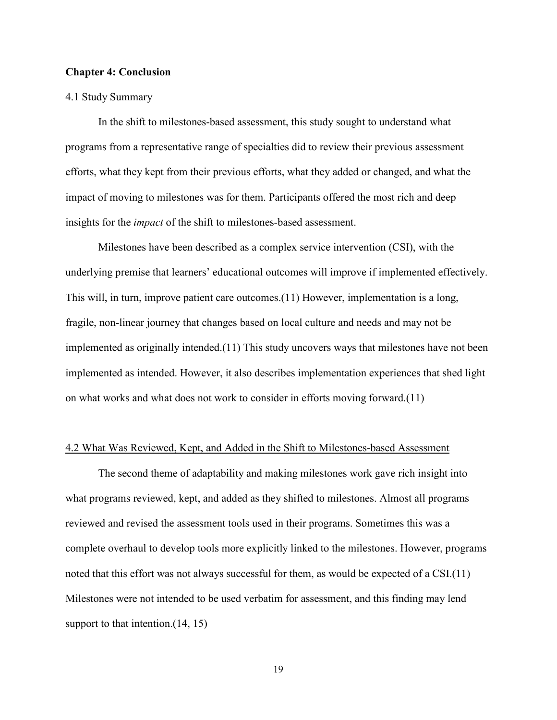## **Chapter 4: Conclusion**

## 4.1 Study Summary

In the shift to milestones-based assessment, this study sought to understand what programs from a representative range of specialties did to review their previous assessment efforts, what they kept from their previous efforts, what they added or changed, and what the impact of moving to milestones was for them. Participants offered the most rich and deep insights for the *impact* of the shift to milestones-based assessment.

Milestones have been described as a complex service intervention (CSI), with the underlying premise that learners' educational outcomes will improve if implemented effectively. This will, in turn, improve patient care outcomes.(11) However, implementation is a long, fragile, non-linear journey that changes based on local culture and needs and may not be implemented as originally intended.(11) This study uncovers ways that milestones have not been implemented as intended. However, it also describes implementation experiences that shed light on what works and what does not work to consider in efforts moving forward.(11)

## 4.2 What Was Reviewed, Kept, and Added in the Shift to Milestones-based Assessment

The second theme of adaptability and making milestones work gave rich insight into what programs reviewed, kept, and added as they shifted to milestones. Almost all programs reviewed and revised the assessment tools used in their programs. Sometimes this was a complete overhaul to develop tools more explicitly linked to the milestones. However, programs noted that this effort was not always successful for them, as would be expected of a CSI.(11) Milestones were not intended to be used verbatim for assessment, and this finding may lend support to that intention.  $(14, 15)$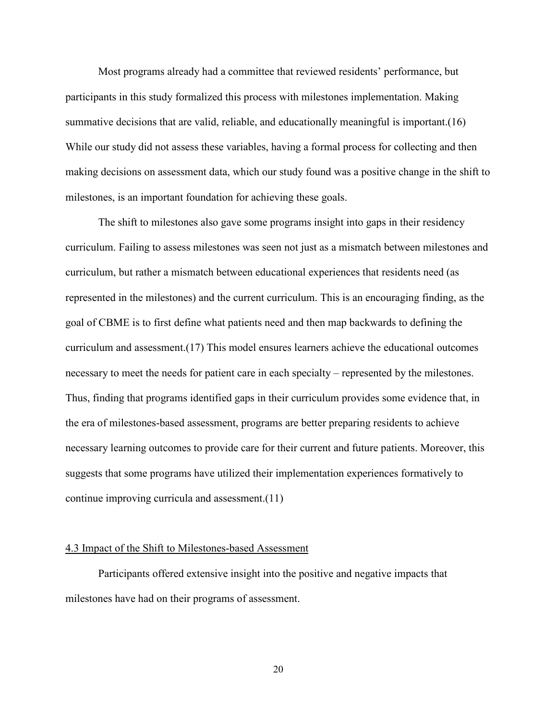Most programs already had a committee that reviewed residents' performance, but participants in this study formalized this process with milestones implementation. Making summative decisions that are valid, reliable, and educationally meaningful is important.(16) While our study did not assess these variables, having a formal process for collecting and then making decisions on assessment data, which our study found was a positive change in the shift to milestones, is an important foundation for achieving these goals.

The shift to milestones also gave some programs insight into gaps in their residency curriculum. Failing to assess milestones was seen not just as a mismatch between milestones and curriculum, but rather a mismatch between educational experiences that residents need (as represented in the milestones) and the current curriculum. This is an encouraging finding, as the goal of CBME is to first define what patients need and then map backwards to defining the curriculum and assessment.(17) This model ensures learners achieve the educational outcomes necessary to meet the needs for patient care in each specialty – represented by the milestones. Thus, finding that programs identified gaps in their curriculum provides some evidence that, in the era of milestones-based assessment, programs are better preparing residents to achieve necessary learning outcomes to provide care for their current and future patients. Moreover, this suggests that some programs have utilized their implementation experiences formatively to continue improving curricula and assessment.(11)

### 4.3 Impact of the Shift to Milestones-based Assessment

Participants offered extensive insight into the positive and negative impacts that milestones have had on their programs of assessment.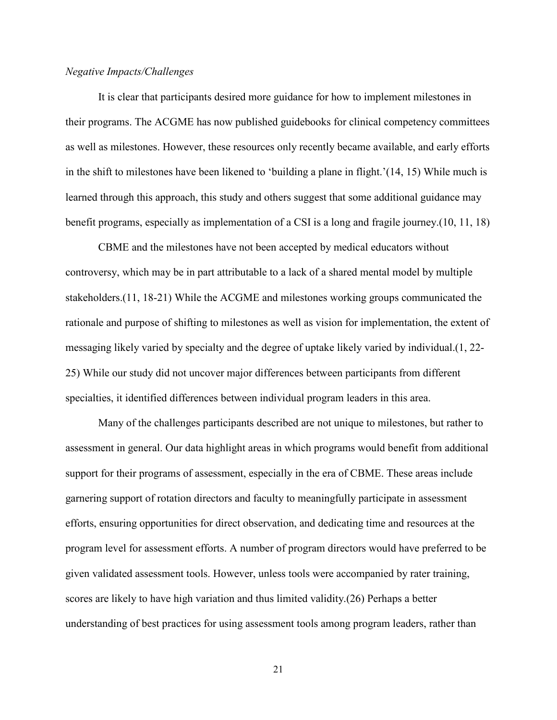# *Negative Impacts/Challenges*

It is clear that participants desired more guidance for how to implement milestones in their programs. The ACGME has now published guidebooks for clinical competency committees as well as milestones. However, these resources only recently became available, and early efforts in the shift to milestones have been likened to 'building a plane in flight.'(14, 15) While much is learned through this approach, this study and others suggest that some additional guidance may benefit programs, especially as implementation of a CSI is a long and fragile journey.(10, 11, 18)

CBME and the milestones have not been accepted by medical educators without controversy, which may be in part attributable to a lack of a shared mental model by multiple stakeholders.(11, 18-21) While the ACGME and milestones working groups communicated the rationale and purpose of shifting to milestones as well as vision for implementation, the extent of messaging likely varied by specialty and the degree of uptake likely varied by individual.(1, 22- 25) While our study did not uncover major differences between participants from different specialties, it identified differences between individual program leaders in this area.

Many of the challenges participants described are not unique to milestones, but rather to assessment in general. Our data highlight areas in which programs would benefit from additional support for their programs of assessment, especially in the era of CBME. These areas include garnering support of rotation directors and faculty to meaningfully participate in assessment efforts, ensuring opportunities for direct observation, and dedicating time and resources at the program level for assessment efforts. A number of program directors would have preferred to be given validated assessment tools. However, unless tools were accompanied by rater training, scores are likely to have high variation and thus limited validity.(26) Perhaps a better understanding of best practices for using assessment tools among program leaders, rather than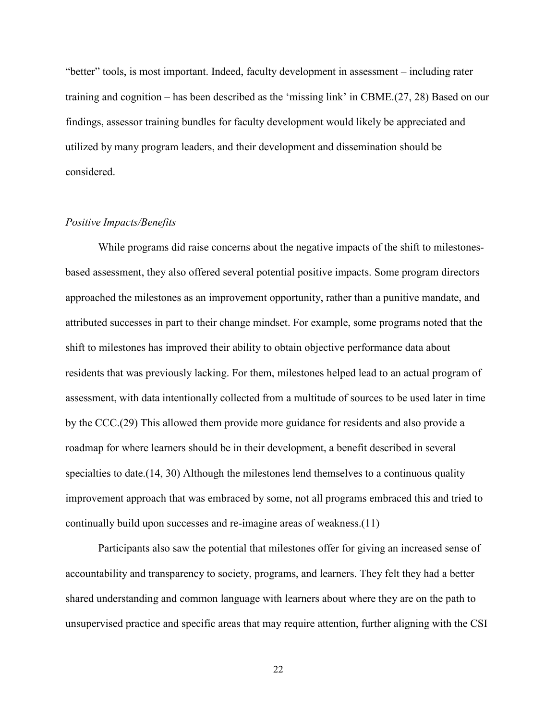"better" tools, is most important. Indeed, faculty development in assessment – including rater training and cognition – has been described as the 'missing link' in CBME.(27, 28) Based on our findings, assessor training bundles for faculty development would likely be appreciated and utilized by many program leaders, and their development and dissemination should be considered.

# *Positive Impacts/Benefits*

While programs did raise concerns about the negative impacts of the shift to milestonesbased assessment, they also offered several potential positive impacts. Some program directors approached the milestones as an improvement opportunity, rather than a punitive mandate, and attributed successes in part to their change mindset. For example, some programs noted that the shift to milestones has improved their ability to obtain objective performance data about residents that was previously lacking. For them, milestones helped lead to an actual program of assessment, with data intentionally collected from a multitude of sources to be used later in time by the CCC.(29) This allowed them provide more guidance for residents and also provide a roadmap for where learners should be in their development, a benefit described in several specialties to date.(14, 30) Although the milestones lend themselves to a continuous quality improvement approach that was embraced by some, not all programs embraced this and tried to continually build upon successes and re-imagine areas of weakness.(11)

Participants also saw the potential that milestones offer for giving an increased sense of accountability and transparency to society, programs, and learners. They felt they had a better shared understanding and common language with learners about where they are on the path to unsupervised practice and specific areas that may require attention, further aligning with the CSI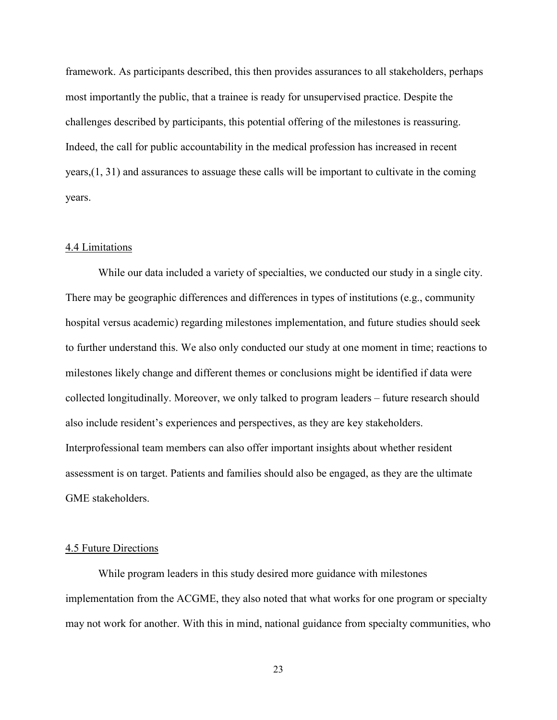framework. As participants described, this then provides assurances to all stakeholders, perhaps most importantly the public, that a trainee is ready for unsupervised practice. Despite the challenges described by participants, this potential offering of the milestones is reassuring. Indeed, the call for public accountability in the medical profession has increased in recent years,(1, 31) and assurances to assuage these calls will be important to cultivate in the coming years.

## 4.4 Limitations

While our data included a variety of specialties, we conducted our study in a single city. There may be geographic differences and differences in types of institutions (e.g., community hospital versus academic) regarding milestones implementation, and future studies should seek to further understand this. We also only conducted our study at one moment in time; reactions to milestones likely change and different themes or conclusions might be identified if data were collected longitudinally. Moreover, we only talked to program leaders – future research should also include resident's experiences and perspectives, as they are key stakeholders. Interprofessional team members can also offer important insights about whether resident assessment is on target. Patients and families should also be engaged, as they are the ultimate GME stakeholders.

### 4.5 Future Directions

While program leaders in this study desired more guidance with milestones implementation from the ACGME, they also noted that what works for one program or specialty may not work for another. With this in mind, national guidance from specialty communities, who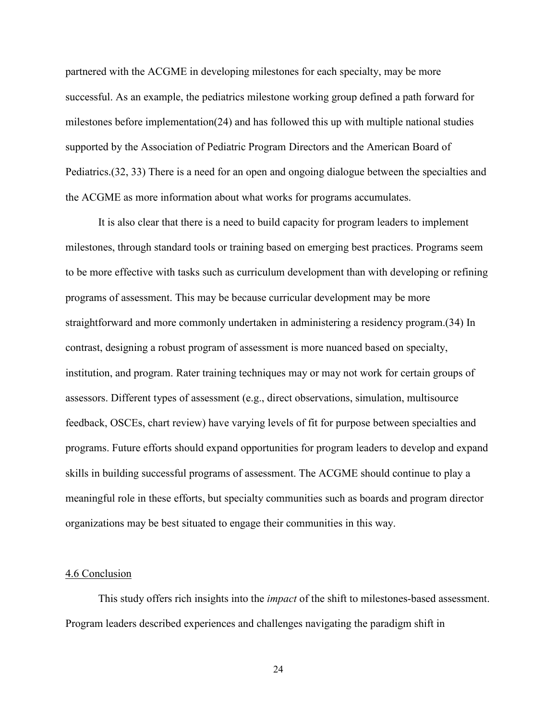partnered with the ACGME in developing milestones for each specialty, may be more successful. As an example, the pediatrics milestone working group defined a path forward for milestones before implementation(24) and has followed this up with multiple national studies supported by the Association of Pediatric Program Directors and the American Board of Pediatrics.(32, 33) There is a need for an open and ongoing dialogue between the specialties and the ACGME as more information about what works for programs accumulates.

It is also clear that there is a need to build capacity for program leaders to implement milestones, through standard tools or training based on emerging best practices. Programs seem to be more effective with tasks such as curriculum development than with developing or refining programs of assessment. This may be because curricular development may be more straightforward and more commonly undertaken in administering a residency program.(34) In contrast, designing a robust program of assessment is more nuanced based on specialty, institution, and program. Rater training techniques may or may not work for certain groups of assessors. Different types of assessment (e.g., direct observations, simulation, multisource feedback, OSCEs, chart review) have varying levels of fit for purpose between specialties and programs. Future efforts should expand opportunities for program leaders to develop and expand skills in building successful programs of assessment. The ACGME should continue to play a meaningful role in these efforts, but specialty communities such as boards and program director organizations may be best situated to engage their communities in this way.

#### 4.6 Conclusion

This study offers rich insights into the *impact* of the shift to milestones-based assessment. Program leaders described experiences and challenges navigating the paradigm shift in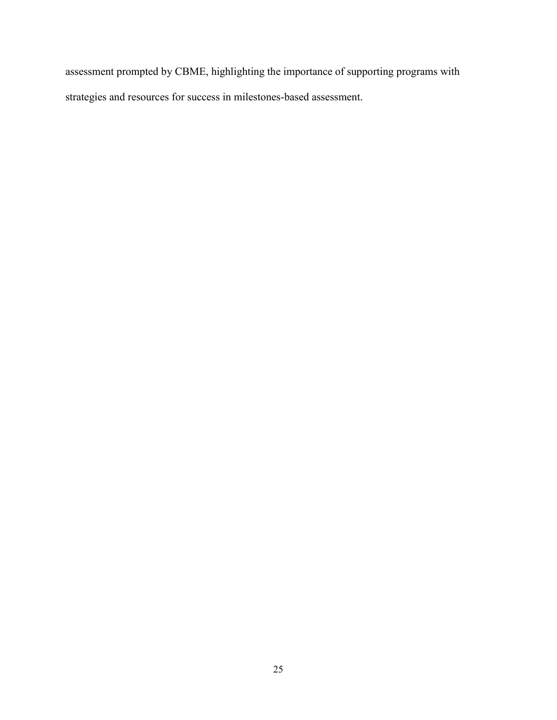assessment prompted by CBME, highlighting the importance of supporting programs with strategies and resources for success in milestones-based assessment.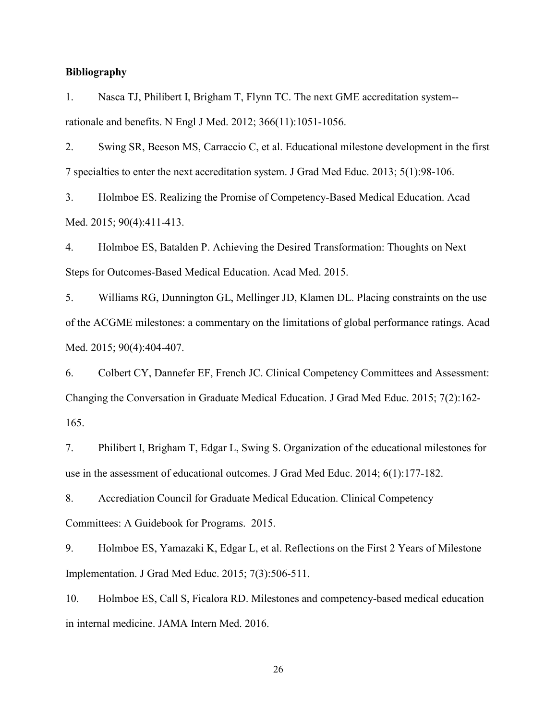# **Bibliography**

1. Nasca TJ, Philibert I, Brigham T, Flynn TC. The next GME accreditation system- rationale and benefits. N Engl J Med. 2012; 366(11):1051-1056.

2. Swing SR, Beeson MS, Carraccio C, et al. Educational milestone development in the first 7 specialties to enter the next accreditation system. J Grad Med Educ. 2013; 5(1):98-106.

3. Holmboe ES. Realizing the Promise of Competency-Based Medical Education. Acad Med. 2015; 90(4):411-413.

4. Holmboe ES, Batalden P. Achieving the Desired Transformation: Thoughts on Next Steps for Outcomes-Based Medical Education. Acad Med. 2015.

5. Williams RG, Dunnington GL, Mellinger JD, Klamen DL. Placing constraints on the use of the ACGME milestones: a commentary on the limitations of global performance ratings. Acad Med. 2015; 90(4):404-407.

6. Colbert CY, Dannefer EF, French JC. Clinical Competency Committees and Assessment: Changing the Conversation in Graduate Medical Education. J Grad Med Educ. 2015; 7(2):162- 165.

7. Philibert I, Brigham T, Edgar L, Swing S. Organization of the educational milestones for use in the assessment of educational outcomes. J Grad Med Educ. 2014; 6(1):177-182.

8. Accrediation Council for Graduate Medical Education. Clinical Competency Committees: A Guidebook for Programs. 2015.

9. Holmboe ES, Yamazaki K, Edgar L, et al. Reflections on the First 2 Years of Milestone Implementation. J Grad Med Educ. 2015; 7(3):506-511.

10. Holmboe ES, Call S, Ficalora RD. Milestones and competency-based medical education in internal medicine. JAMA Intern Med. 2016.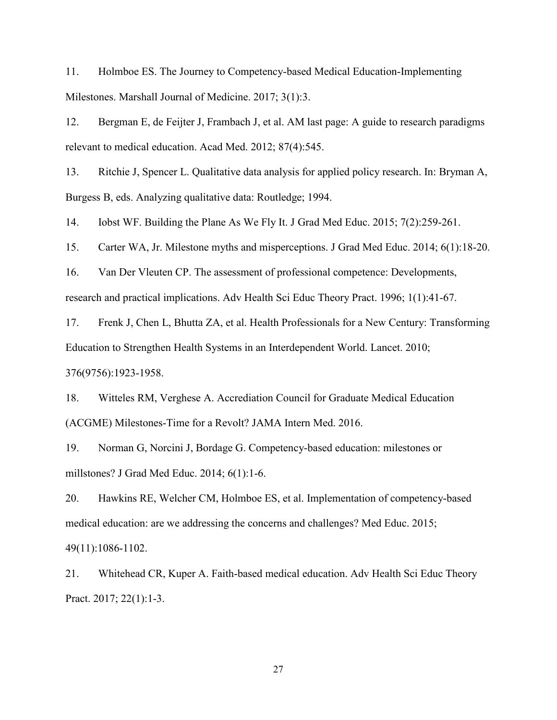11. Holmboe ES. The Journey to Competency-based Medical Education-Implementing Milestones. Marshall Journal of Medicine. 2017; 3(1):3.

12. Bergman E, de Feijter J, Frambach J, et al. AM last page: A guide to research paradigms relevant to medical education. Acad Med. 2012; 87(4):545.

13. Ritchie J, Spencer L. Qualitative data analysis for applied policy research. In: Bryman A, Burgess B, eds. Analyzing qualitative data: Routledge; 1994.

14. Iobst WF. Building the Plane As We Fly It. J Grad Med Educ. 2015; 7(2):259-261.

15. Carter WA, Jr. Milestone myths and misperceptions. J Grad Med Educ. 2014; 6(1):18-20.

16. Van Der Vleuten CP. The assessment of professional competence: Developments, research and practical implications. Adv Health Sci Educ Theory Pract. 1996; 1(1):41-67.

17. Frenk J, Chen L, Bhutta ZA, et al. Health Professionals for a New Century: Transforming Education to Strengthen Health Systems in an Interdependent World. Lancet. 2010; 376(9756):1923-1958.

18. Witteles RM, Verghese A. Accrediation Council for Graduate Medical Education (ACGME) Milestones-Time for a Revolt? JAMA Intern Med. 2016.

19. Norman G, Norcini J, Bordage G. Competency-based education: milestones or millstones? J Grad Med Educ. 2014; 6(1):1-6.

20. Hawkins RE, Welcher CM, Holmboe ES, et al. Implementation of competency-based medical education: are we addressing the concerns and challenges? Med Educ. 2015; 49(11):1086-1102.

21. Whitehead CR, Kuper A. Faith-based medical education. Adv Health Sci Educ Theory Pract. 2017; 22(1):1-3.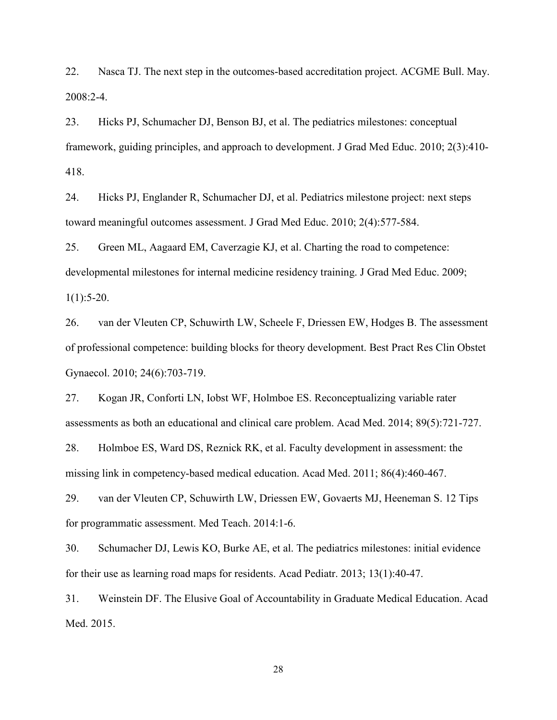22. Nasca TJ. The next step in the outcomes-based accreditation project. ACGME Bull. May. 2008:2-4.

23. Hicks PJ, Schumacher DJ, Benson BJ, et al. The pediatrics milestones: conceptual framework, guiding principles, and approach to development. J Grad Med Educ. 2010; 2(3):410- 418.

24. Hicks PJ, Englander R, Schumacher DJ, et al. Pediatrics milestone project: next steps toward meaningful outcomes assessment. J Grad Med Educ. 2010; 2(4):577-584.

25. Green ML, Aagaard EM, Caverzagie KJ, et al. Charting the road to competence: developmental milestones for internal medicine residency training. J Grad Med Educ. 2009;  $1(1):5-20.$ 

26. van der Vleuten CP, Schuwirth LW, Scheele F, Driessen EW, Hodges B. The assessment of professional competence: building blocks for theory development. Best Pract Res Clin Obstet Gynaecol. 2010; 24(6):703-719.

27. Kogan JR, Conforti LN, Iobst WF, Holmboe ES. Reconceptualizing variable rater assessments as both an educational and clinical care problem. Acad Med. 2014; 89(5):721-727.

28. Holmboe ES, Ward DS, Reznick RK, et al. Faculty development in assessment: the missing link in competency-based medical education. Acad Med. 2011; 86(4):460-467.

29. van der Vleuten CP, Schuwirth LW, Driessen EW, Govaerts MJ, Heeneman S. 12 Tips for programmatic assessment. Med Teach. 2014:1-6.

30. Schumacher DJ, Lewis KO, Burke AE, et al. The pediatrics milestones: initial evidence for their use as learning road maps for residents. Acad Pediatr. 2013; 13(1):40-47.

31. Weinstein DF. The Elusive Goal of Accountability in Graduate Medical Education. Acad Med. 2015.